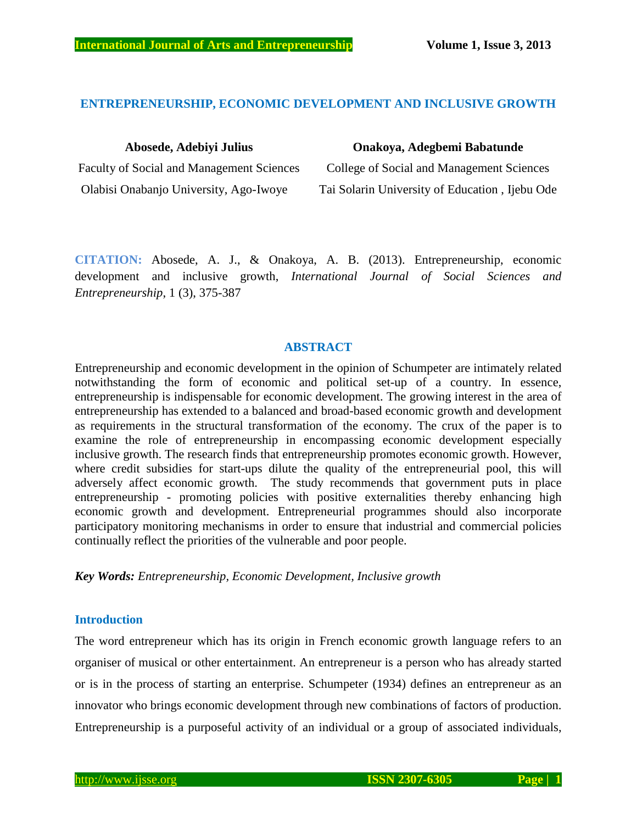# **ENTREPRENEURSHIP, ECONOMIC DEVELOPMENT AND INCLUSIVE GROWTH**

Faculty of Social and Management Sciences College of Social and Management Sciences

### **Abosede, Adebiyi Julius Onakoya, Adegbemi Babatunde**

Olabisi Onabanjo University, Ago-Iwoye Tai Solarin University of Education , Ijebu Ode

**CITATION:** Abosede, A. J., & Onakoya, A. B. (2013). Entrepreneurship, economic development and inclusive growth, *International Journal of Social Sciences and Entrepreneurship*, 1 (3), 375-387

# **ABSTRACT**

Entrepreneurship and economic development in the opinion of Schumpeter are intimately related notwithstanding the form of economic and political set-up of a country. In essence, entrepreneurship is indispensable for economic development. The growing interest in the area of entrepreneurship has extended to a balanced and broad-based economic growth and development as requirements in the structural transformation of the economy. The crux of the paper is to examine the role of entrepreneurship in encompassing economic development especially inclusive growth. The research finds that entrepreneurship promotes economic growth. However, where credit subsidies for start-ups dilute the quality of the entrepreneurial pool, this will adversely affect economic growth. The study recommends that government puts in place entrepreneurship - promoting policies with positive externalities thereby enhancing high economic growth and development. Entrepreneurial programmes should also incorporate participatory monitoring mechanisms in order to ensure that industrial and commercial policies continually reflect the priorities of the vulnerable and poor people.

*Key Words: Entrepreneurship, Economic Development, Inclusive growth*

# **Introduction**

The word entrepreneur which has its origin in French economic growth language refers to an organiser of musical or other entertainment. An entrepreneur is a person who has already started or is in the process of starting an enterprise. Schumpeter (1934) defines an entrepreneur as an innovator who brings economic development through new combinations of factors of production. Entrepreneurship is a purposeful activity of an individual or a group of associated individuals,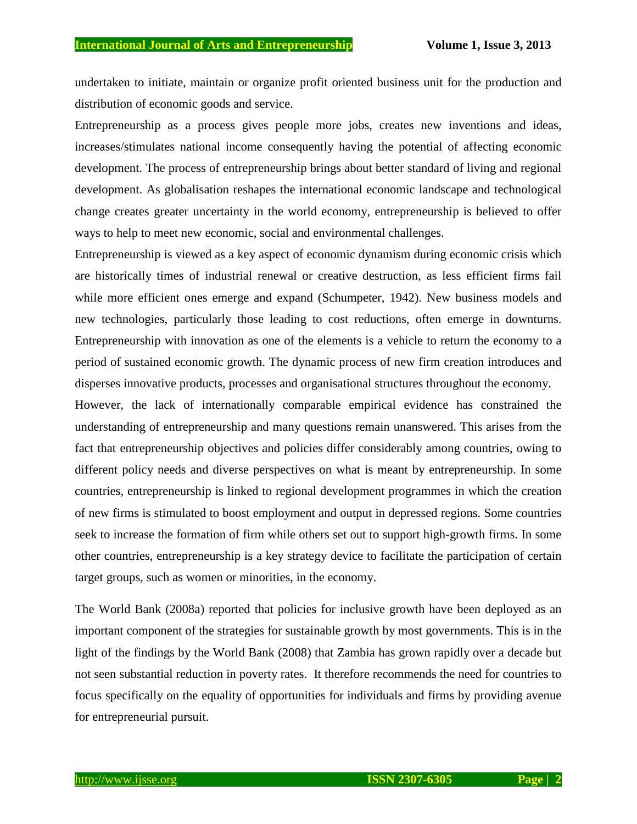undertaken to initiate, maintain or organize profit oriented business unit for the production and distribution of economic goods and service.

Entrepreneurship as a process gives people more jobs, creates new inventions and ideas, increases/stimulates national income consequently having the potential of affecting economic development. The process of entrepreneurship brings about better standard of living and regional development. As globalisation reshapes the international economic landscape and technological change creates greater uncertainty in the world economy, entrepreneurship is believed to offer ways to help to meet new economic, social and environmental challenges.

Entrepreneurship is viewed as a key aspect of economic dynamism during economic crisis which are historically times of industrial renewal or creative destruction, as less efficient firms fail while more efficient ones emerge and expand (Schumpeter, 1942). New business models and new technologies, particularly those leading to cost reductions, often emerge in downturns. Entrepreneurship with innovation as one of the elements is a vehicle to return the economy to a period of sustained economic growth. The dynamic process of new firm creation introduces and disperses innovative products, processes and organisational structures throughout the economy.

However, the lack of internationally comparable empirical evidence has constrained the understanding of entrepreneurship and many questions remain unanswered. This arises from the fact that entrepreneurship objectives and policies differ considerably among countries, owing to different policy needs and diverse perspectives on what is meant by entrepreneurship. In some countries, entrepreneurship is linked to regional development programmes in which the creation of new firms is stimulated to boost employment and output in depressed regions. Some countries seek to increase the formation of firm while others set out to support high-growth firms. In some other countries, entrepreneurship is a key strategy device to facilitate the participation of certain target groups, such as women or minorities, in the economy.

The World Bank (2008a) reported that policies for inclusive growth have been deployed as an important component of the strategies for sustainable growth by most governments. This is in the light of the findings by the World Bank (2008) that Zambia has grown rapidly over a decade but not seen substantial reduction in poverty rates. It therefore recommends the need for countries to focus specifically on the equality of opportunities for individuals and firms by providing avenue for entrepreneurial pursuit.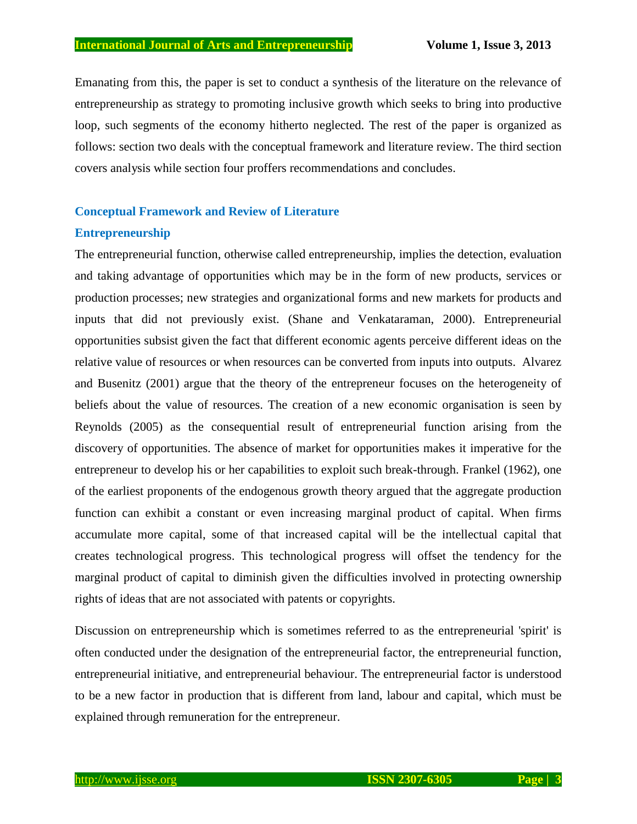Emanating from this, the paper is set to conduct a synthesis of the literature on the relevance of entrepreneurship as strategy to promoting inclusive growth which seeks to bring into productive loop, such segments of the economy hitherto neglected. The rest of the paper is organized as follows: section two deals with the conceptual framework and literature review. The third section covers analysis while section four proffers recommendations and concludes.

### **Conceptual Framework and Review of Literature**

### **Entrepreneurship**

The entrepreneurial function, otherwise called entrepreneurship, implies the detection, evaluation and taking advantage of opportunities which may be in the form of new products, services or production processes; new strategies and organizational forms and new markets for products and inputs that did not previously exist. (Shane and Venkataraman, 2000). Entrepreneurial opportunities subsist given the fact that different economic agents perceive different ideas on the relative value of resources or when resources can be converted from inputs into outputs. Alvarez and Busenitz (2001) argue that the theory of the entrepreneur focuses on the heterogeneity of beliefs about the value of resources. The creation of a new economic organisation is seen by Reynolds (2005) as the consequential result of entrepreneurial function arising from the discovery of opportunities. The absence of market for opportunities makes it imperative for the entrepreneur to develop his or her capabilities to exploit such break-through. Frankel (1962), one of the earliest proponents of the endogenous growth theory argued that the aggregate production function can exhibit a constant or even increasing marginal product of capital. When firms accumulate more capital, some of that increased capital will be the intellectual capital that creates technological progress. This technological progress will offset the tendency for the marginal product of capital to diminish given the difficulties involved in protecting ownership rights of ideas that are not associated with patents or copyrights.

Discussion on entrepreneurship which is sometimes referred to as the entrepreneurial 'spirit' is often conducted under the designation of the entrepreneurial factor, the entrepreneurial function, entrepreneurial initiative, and entrepreneurial behaviour. The entrepreneurial factor is understood to be a new factor in production that is different from land, labour and capital, which must be explained through remuneration for the entrepreneur.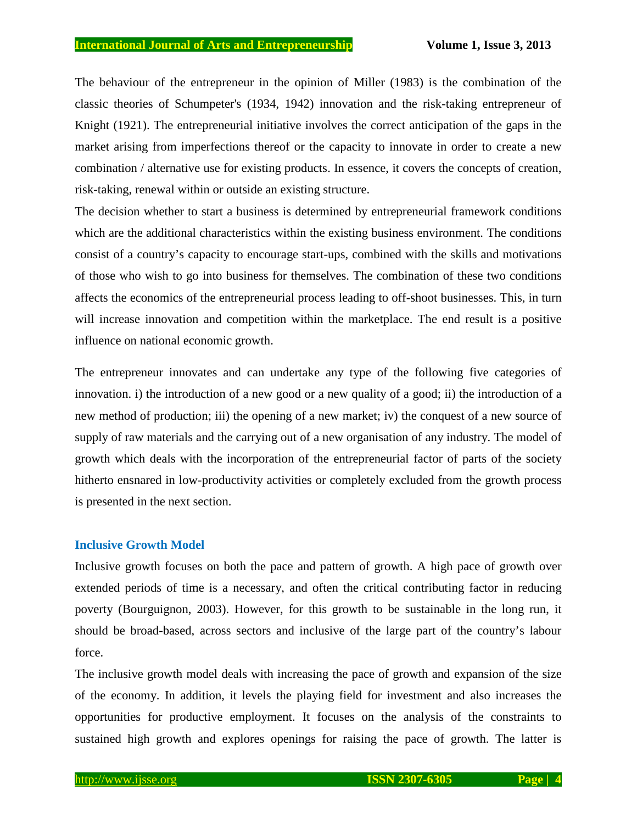### **International Journal of Arts and Entrepreneurship Volume 1, Issue 3, 2013**

The behaviour of the entrepreneur in the opinion of Miller (1983) is the combination of the classic theories of Schumpeter's (1934, 1942) innovation and the risk-taking entrepreneur of Knight (1921). The entrepreneurial initiative involves the correct anticipation of the gaps in the market arising from imperfections thereof or the capacity to innovate in order to create a new combination / alternative use for existing products. In essence, it covers the concepts of creation, risk-taking, renewal within or outside an existing structure.

The decision whether to start a business is determined by entrepreneurial framework conditions which are the additional characteristics within the existing business environment. The conditions consist of a country's capacity to encourage start-ups, combined with the skills and motivations of those who wish to go into business for themselves. The combination of these two conditions affects the economics of the entrepreneurial process leading to off-shoot businesses. This, in turn will increase innovation and competition within the marketplace. The end result is a positive influence on national economic growth.

The entrepreneur innovates and can undertake any type of the following five categories of innovation. i) the introduction of a new good or a new quality of a good; ii) the introduction of a new method of production; iii) the opening of a new market; iv) the conquest of a new source of supply of raw materials and the carrying out of a new organisation of any industry. The model of growth which deals with the incorporation of the entrepreneurial factor of parts of the society hitherto ensnared in low-productivity activities or completely excluded from the growth process is presented in the next section.

# **Inclusive Growth Model**

Inclusive growth focuses on both the pace and pattern of growth. A high pace of growth over extended periods of time is a necessary, and often the critical contributing factor in reducing poverty (Bourguignon, 2003). However, for this growth to be sustainable in the long run, it should be broad-based, across sectors and inclusive of the large part of the country's labour force.

The inclusive growth model deals with increasing the pace of growth and expansion of the size of the economy. In addition, it levels the playing field for investment and also increases the opportunities for productive employment. It focuses on the analysis of the constraints to sustained high growth and explores openings for raising the pace of growth. The latter is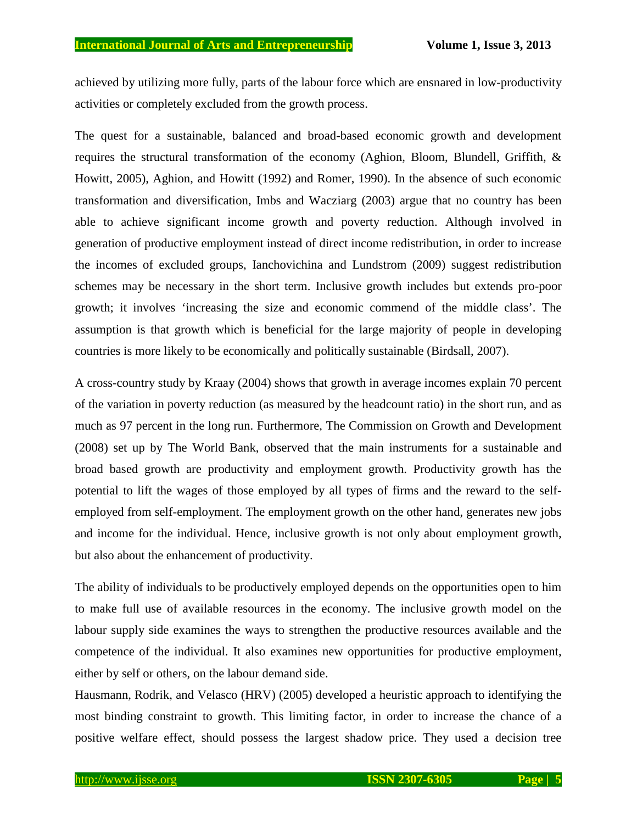achieved by utilizing more fully, parts of the labour force which are ensnared in low-productivity activities or completely excluded from the growth process.

The quest for a sustainable, balanced and broad-based economic growth and development requires the structural transformation of the economy (Aghion, Bloom, Blundell, Griffith, & Howitt, 2005), Aghion, and Howitt (1992) and Romer, 1990). In the absence of such economic transformation and diversification, Imbs and Wacziarg (2003) argue that no country has been able to achieve significant income growth and poverty reduction. Although involved in generation of productive employment instead of direct income redistribution, in order to increase the incomes of excluded groups, Ianchovichina and Lundstrom (2009) suggest redistribution schemes may be necessary in the short term. Inclusive growth includes but extends pro-poor growth; it involves 'increasing the size and economic commend of the middle class'. The assumption is that growth which is beneficial for the large majority of people in developing countries is more likely to be economically and politically sustainable (Birdsall, 2007).

A cross-country study by Kraay (2004) shows that growth in average incomes explain 70 percent of the variation in poverty reduction (as measured by the headcount ratio) in the short run, and as much as 97 percent in the long run. Furthermore, The Commission on Growth and Development (2008) set up by The World Bank, observed that the main instruments for a sustainable and broad based growth are productivity and employment growth. Productivity growth has the potential to lift the wages of those employed by all types of firms and the reward to the selfemployed from self-employment. The employment growth on the other hand, generates new jobs and income for the individual. Hence, inclusive growth is not only about employment growth, but also about the enhancement of productivity.

The ability of individuals to be productively employed depends on the opportunities open to him to make full use of available resources in the economy. The inclusive growth model on the labour supply side examines the ways to strengthen the productive resources available and the competence of the individual. It also examines new opportunities for productive employment, either by self or others, on the labour demand side.

Hausmann, Rodrik, and Velasco (HRV) (2005) developed a heuristic approach to identifying the most binding constraint to growth. This limiting factor, in order to increase the chance of a positive welfare effect, should possess the largest shadow price. They used a decision tree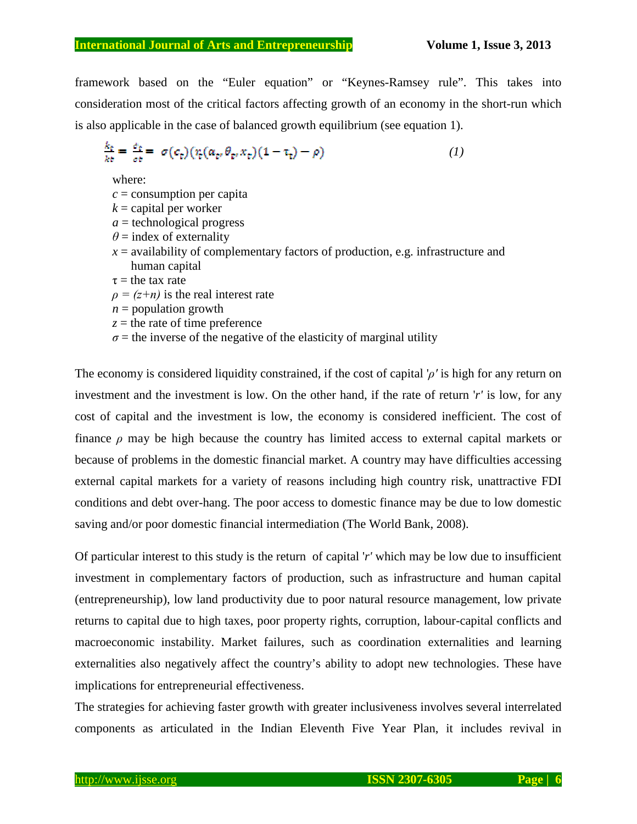framework based on the "Euler equation" or "Keynes-Ramsey rule". This takes into consideration most of the critical factors affecting growth of an economy in the short-run which is also applicable in the case of balanced growth equilibrium (see equation 1).

$$
\frac{k_t}{kt} = \frac{\dot{\sigma}_t}{\sigma t} = \sigma(c_t)(\tau_t(a_t, \theta_t, x_t)(1 - \tau_t) - \rho) \tag{1}
$$

where:

- $c =$  consumption per capita
- $k =$  capital per worker
- *a* = technological progress
- $\theta$  = index of externality
- $x =$  availability of complementary factors of production, e.g. infrastructure and human capital
- $\tau$  = the tax rate
- $\rho = (z+n)$  is the real interest rate
- $n =$  population growth
- $z =$  the rate of time preference
- $\sigma$  = the inverse of the negative of the elasticity of marginal utility

The economy is considered liquidity constrained, if the cost of capital '*ρ'* is high for any return on investment and the investment is low. On the other hand, if the rate of return '*r'* is low, for any cost of capital and the investment is low, the economy is considered inefficient. The cost of finance *ρ* may be high because the country has limited access to external capital markets or because of problems in the domestic financial market. A country may have difficulties accessing external capital markets for a variety of reasons including high country risk, unattractive FDI conditions and debt over-hang. The poor access to domestic finance may be due to low domestic saving and/or poor domestic financial intermediation (The World Bank, 2008).

Of particular interest to this study is the return of capital '*r'* which may be low due to insufficient investment in complementary factors of production, such as infrastructure and human capital (entrepreneurship), low land productivity due to poor natural resource management, low private returns to capital due to high taxes, poor property rights, corruption, labour-capital conflicts and macroeconomic instability. Market failures, such as coordination externalities and learning externalities also negatively affect the country's ability to adopt new technologies. These have implications for entrepreneurial effectiveness.

The strategies for achieving faster growth with greater inclusiveness involves several interrelated components as articulated in the Indian Eleventh Five Year Plan, it includes revival in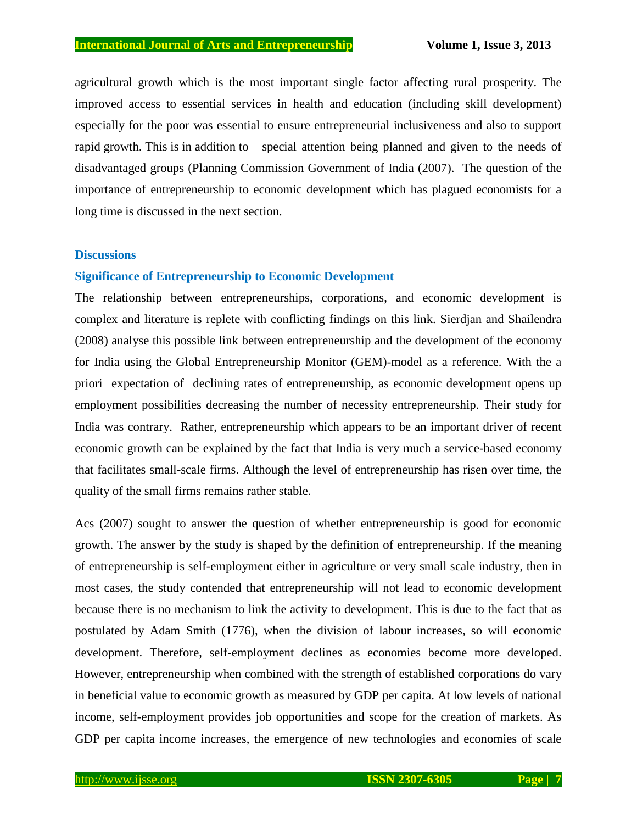agricultural growth which is the most important single factor affecting rural prosperity. The improved access to essential services in health and education (including skill development) especially for the poor was essential to ensure entrepreneurial inclusiveness and also to support rapid growth. This is in addition to special attention being planned and given to the needs of disadvantaged groups (Planning Commission Government of India (2007). The question of the importance of entrepreneurship to economic development which has plagued economists for a long time is discussed in the next section.

### **Discussions**

### **Significance of Entrepreneurship to Economic Development**

The relationship between entrepreneurships, corporations, and economic development is complex and literature is replete with conflicting findings on this link. [Sierdjan and](http://joe.sagepub.com/search?author1=Sierdjan+Koster&sortspec=date&submit=Submit) [Shailendra](http://joe.sagepub.com/search?author1=Shailendra+Kumar+Rai&sortspec=date&submit=Submit) (2008) analyse this possible link between entrepreneurship and the development of the economy for India using the Global Entrepreneurship Monitor (GEM)-model as a reference. With the a priori expectation of declining rates of entrepreneurship, as economic development opens up employment possibilities decreasing the number of necessity entrepreneurship. Their study for India was contrary. Rather, entrepreneurship which appears to be an important driver of recent economic growth can be explained by the fact that India is very much a service-based economy that facilitates small-scale firms. Although the level of entrepreneurship has risen over time, the quality of the small firms remains rather stable.

Acs (2007) sought to answer the question of whether entrepreneurship is good for economic growth. The answer by the study is shaped by the definition of entrepreneurship. If the meaning of entrepreneurship is self-employment either in agriculture or very small scale industry, then in most cases, the study contended that entrepreneurship will not lead to economic development because there is no mechanism to link the activity to development. This is due to the fact that as postulated by Adam Smith (1776), when the division of labour increases, so will economic development. Therefore, self-employment declines as economies become more developed. However, entrepreneurship when combined with the strength of established corporations do vary in beneficial value to economic growth as measured by GDP per capita. At low levels of national income, self-employment provides job opportunities and scope for the creation of markets. As GDP per capita income increases, the emergence of new technologies and economies of scale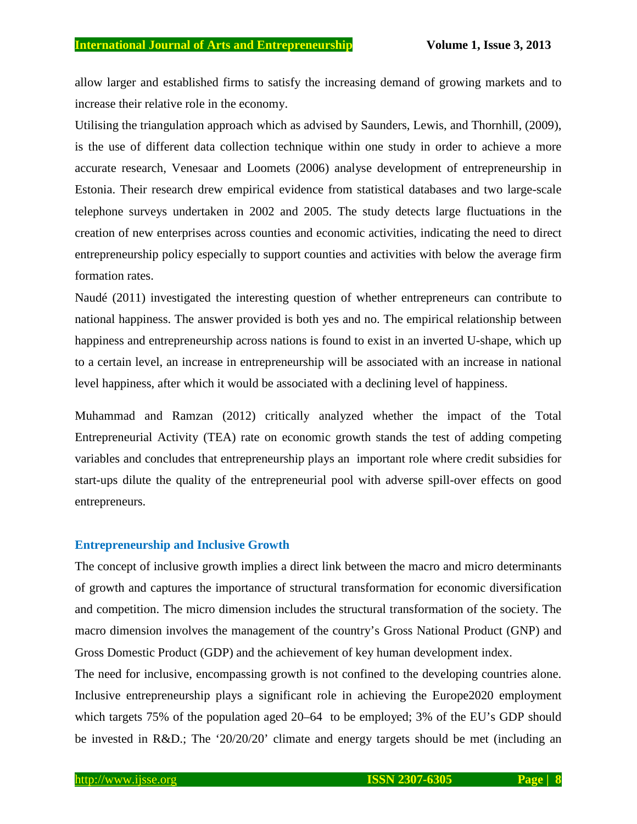allow larger and established firms to satisfy the increasing demand of growing markets and to increase their relative role in the economy.

Utilising the triangulation approach which as advised by Saunders, Lewis, and Thornhill, (2009), is the use of different data collection technique within one study in order to achieve a more accurate research, Venesaar and Loomets (2006) analyse development of entrepreneurship in Estonia. Their research drew empirical evidence from statistical databases and two large-scale telephone surveys undertaken in 2002 and 2005. The study detects large fluctuations in the creation of new enterprises across counties and economic activities, indicating the need to direct entrepreneurship policy especially to support counties and activities with below the average firm formation rates.

Naudé (2011) investigated the interesting question of whether entrepreneurs can contribute to national happiness. The answer provided is both yes and no. The empirical relationship between happiness and entrepreneurship across nations is found to exist in an inverted U-shape, which up to a certain level, an increase in entrepreneurship will be associated with an increase in national level happiness, after which it would be associated with a declining level of happiness.

Muhammad and Ramzan (2012) critically analyzed whether the impact of the Total Entrepreneurial Activity (TEA) rate on economic growth stands the test of adding competing variables and concludes that entrepreneurship plays an important role where credit subsidies for start-ups dilute the quality of the entrepreneurial pool with adverse spill-over effects on good entrepreneurs.

### **Entrepreneurship and Inclusive Growth**

The concept of inclusive growth implies a direct link between the macro and micro determinants of growth and captures the importance of structural transformation for economic diversification and competition. The micro dimension includes the structural transformation of the society. The macro dimension involves the management of the country's [Gross National Product](http://en.wikipedia.org/wiki/Gross_national_product) (GNP) and [Gross Domestic Product](http://en.wikipedia.org/wiki/Gross_domestic_product) (GDP) and the achievement of key human development index.

The need for inclusive, encompassing growth is not confined to the developing countries alone. Inclusive entrepreneurship plays a significant role in achieving the Europe2020 employment which targets 75% of the population aged 20–64 to be employed; 3% of the EU's GDP should be invested in R&D.; The '20/20/20' climate and energy targets should be met (including an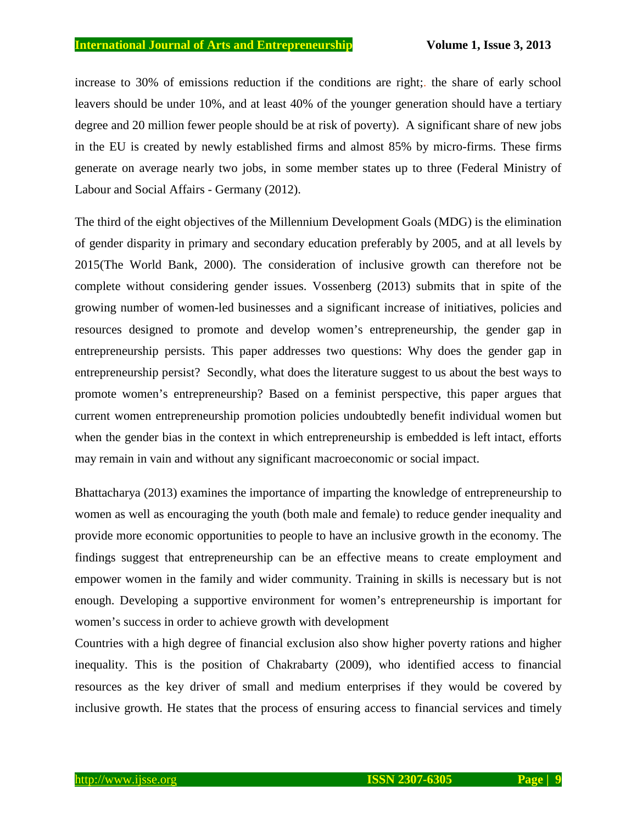increase to 30% of emissions reduction if the conditions are right;. the share of early school leavers should be under 10%, and at least 40% of the younger generation should have a tertiary degree and 20 million fewer people should be at risk of poverty). A significant share of new jobs in the EU is created by newly established firms and almost 85% by micro-firms. These firms generate on average nearly two jobs, in some member states up to three (Federal Ministry of Labour and Social Affairs - Germany (2012).

The third of the eight objectives of the Millennium Development Goals (MDG) is the elimination of gender disparity in primary and secondary education preferably by 2005, and at all levels by 2015(The World Bank, 2000). The consideration of inclusive growth can therefore not be complete without considering gender issues. Vossenberg (2013) submits that in spite of the growing number of women-led businesses and a significant increase of initiatives, policies and resources designed to promote and develop women's entrepreneurship, the gender gap in entrepreneurship persists. This paper addresses two questions: Why does the gender gap in entrepreneurship persist? Secondly, what does the literature suggest to us about the best ways to promote women's entrepreneurship? Based on a feminist perspective, this paper argues that current women entrepreneurship promotion policies undoubtedly benefit individual women but when the gender bias in the context in which entrepreneurship is embedded is left intact, efforts may remain in vain and without any significant macroeconomic or social impact.

Bhattacharya (2013) examines the importance of imparting the knowledge of entrepreneurship to women as well as encouraging the youth (both male and female) to reduce gender inequality and provide more economic opportunities to people to have an inclusive growth in the economy. The findings suggest that entrepreneurship can be an effective means to create employment and empower women in the family and wider community. Training in skills is necessary but is not enough. Developing a supportive environment for women's entrepreneurship is important for women's success in order to achieve growth with development

Countries with a high degree of financial exclusion also show higher poverty rations and higher inequality. This is the position of Chakrabarty (2009), who identified access to financial resources as the key driver of small and medium enterprises if they would be covered by inclusive growth. He states that the process of ensuring access to financial services and timely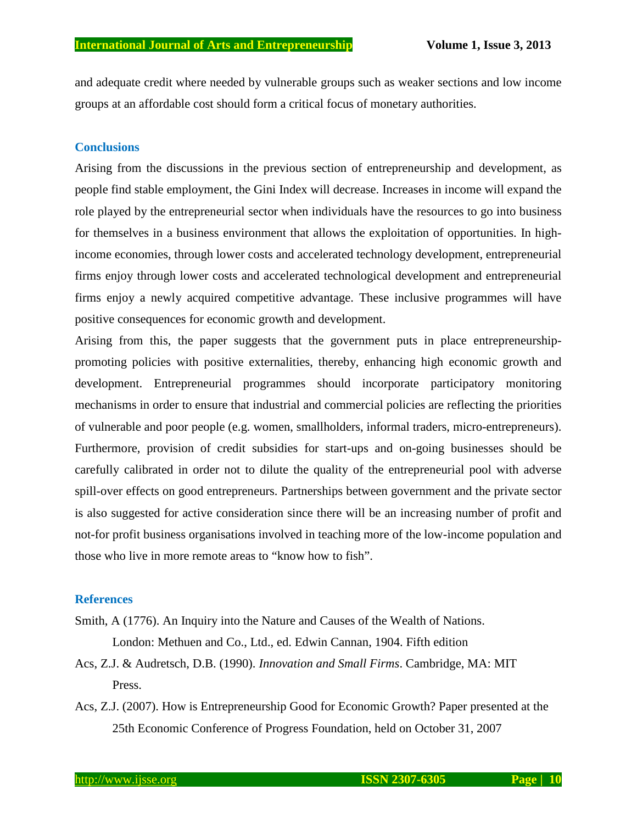and adequate credit where needed by vulnerable groups such as weaker sections and low income groups at an affordable cost should form a critical focus of monetary authorities.

### **Conclusions**

Arising from the discussions in the previous section of entrepreneurship and development, as people find stable employment, the Gini Index will decrease. Increases in income will expand the role played by the entrepreneurial sector when individuals have the resources to go into business for themselves in a business environment that allows the exploitation of opportunities. In highincome economies, through lower costs and accelerated technology development, entrepreneurial firms enjoy through lower costs and accelerated technological development and entrepreneurial firms enjoy a newly acquired competitive advantage. These inclusive programmes will have positive consequences for economic growth and development.

Arising from this, the paper suggests that the government puts in place entrepreneurshippromoting policies with positive externalities, thereby, enhancing high economic growth and development. Entrepreneurial programmes should incorporate participatory monitoring mechanisms in order to ensure that industrial and commercial policies are reflecting the priorities of vulnerable and poor people (e.g. women, smallholders, informal traders, micro-entrepreneurs). Furthermore, provision of credit subsidies for start-ups and on-going businesses should be carefully calibrated in order not to dilute the quality of the entrepreneurial pool with adverse spill-over effects on good entrepreneurs. Partnerships between government and the private sector is also suggested for active consideration since there will be an increasing number of profit and not-for profit business organisations involved in teaching more of the low-income population and those who live in more remote areas to "know how to fish".

#### **References**

- Smith, A (1776). [An Inquiry into the Nature and Causes of the Wealth of Nations](http://www.econlib.org/library/Smith/smWN.html). London: Methuen and Co., Ltd., ed. Edwin Cannan, 1904. Fifth edition
- Acs, Z.J. & Audretsch, D.B. (1990). *Innovation and Small Firms*. Cambridge, MA: MIT Press.
- Acs, Z.J. (2007). How is Entrepreneurship Good for Economic Growth? Paper presented at the 25th Economic Conference of Progress Foundation, held on October 31, 2007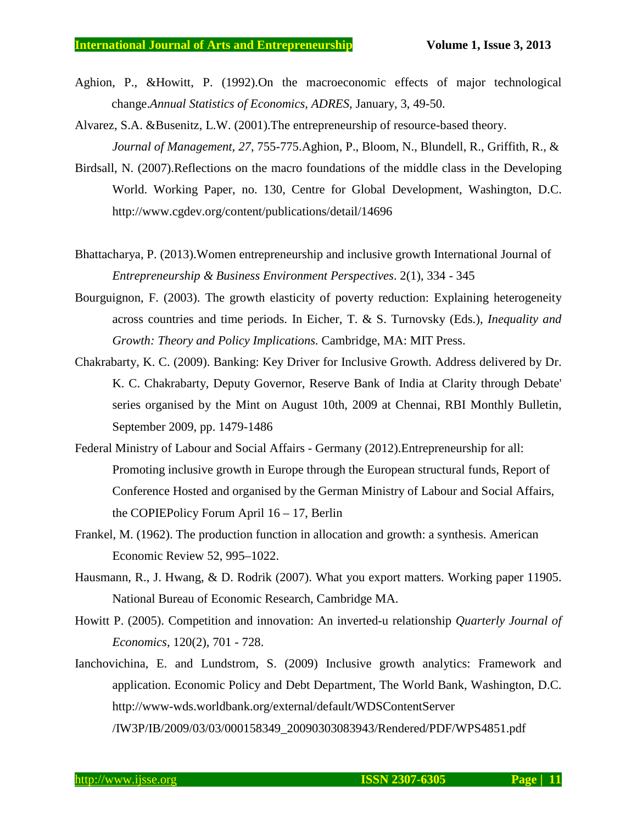- Aghion, P., &Howitt, P. (1992)[.On the macroeconomic effects of major technological](http://ideas.repec.org/a/adr/anecst/y1998i49-50p03.html) [change](http://ideas.repec.org/a/adr/anecst/y1998i49-50p03.html).*[Annual Statistics of Economics](http://ideas.repec.org/s/adr/anecst.html), ADRES,* January, 3, 49-50.
- Alvarez, S.A. &Busenitz, L.W. (2001).The entrepreneurship of resource-based theory. *Journal of Management, 27*, 755-775.Aghion, P., Bloom, N., Blundell, R., Griffith, R., &
- Birdsall, N. (2007).Reflections on the macro foundations of the middle class in the Developing World. Working Paper, no. 130, Centre for Global Development, Washington, D.C. http://www.cgdev.org/content/publications/detail/14696
- Bhattacharya, P. (2013).Women entrepreneurship and inclusive growth International Journal of *Entrepreneurship & Business Environment Perspectives*. 2(1), 334 - 345
- Bourguignon, F. (2003). The growth elasticity of poverty reduction: Explaining heterogeneity across countries and time periods. In Eicher, T. & S. Turnovsky (Eds.), *Inequality and Growth: Theory and Policy Implications.* Cambridge, MA: MIT Press.
- Chakrabarty, K. C. (2009). Banking: Key Driver for Inclusive Growth. Address delivered by Dr. K. C. Chakrabarty, Deputy Governor, Reserve Bank of India at Clarity through Debate' series organised by the Mint on August 10th, 2009 at Chennai, RBI Monthly Bulletin, September 2009, pp. 1479-1486
- Federal Ministry of Labour and Social Affairs Germany (2012).Entrepreneurship for all: Promoting inclusive growth in Europe through the European structural funds, Report of Conference Hosted and organised by the German Ministry of Labour and Social Affairs, the COPIEPolicy Forum April 16 – 17, Berlin
- Frankel, M. (1962). The production function in allocation and growth: a synthesis. American Economic Review 52, 995–1022.
- Hausmann, R., J. Hwang, & D. Rodrik (2007). What you export matters. Working paper 11905. National Bureau of Economic Research, Cambridge MA.
- Howitt P. (2005). Competition and innovation: An inverted-u relationship *Quarterly Journal of Economics,* 120(2), 701 - 728.
- Ianchovichina, E. and Lundstrom, S. (2009) Inclusive growth analytics: Framework and application. Economic Policy and Debt Department, The World Bank, Washington, D.C. http://www-wds.worldbank.org/external/default/WDSContentServer /IW3P/IB/2009/03/03/000158349\_20090303083943/Rendered/PDF/WPS4851.pdf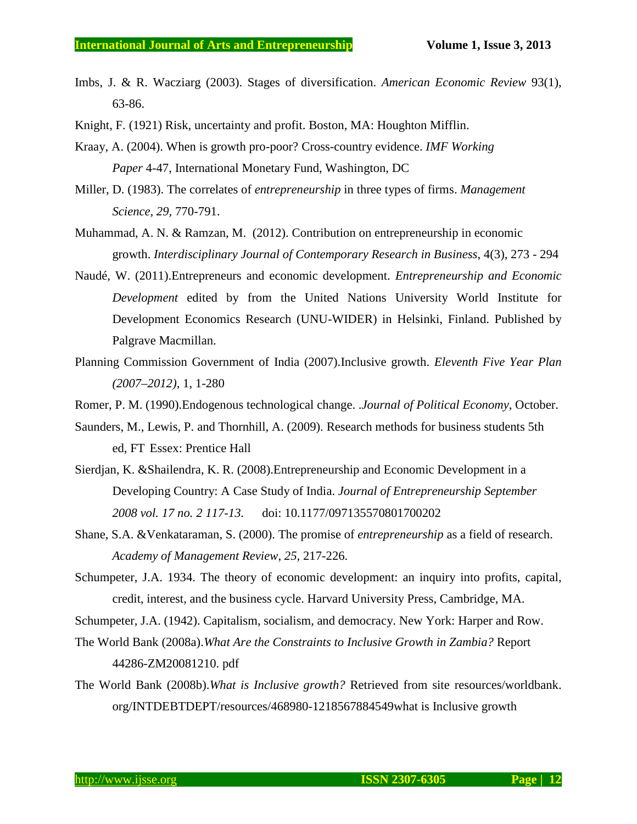- Imbs, J. & R. Wacziarg (2003). Stages of diversification. *American Economic Review* 93(1), 63-86.
- Knight, F. (1921) Risk, uncertainty and profit. Boston, MA: Houghton Mifflin.
- Kraay, A. (2004). When is growth pro-poor? Cross-country evidence. *IMF Working Paper* 4-47, International Monetary Fund, Washington, DC
- Miller, D. (1983). The correlates of *entrepreneurship* in three types of firms. *Management Science, 29,* 770-791.
- Muhammad, A. N. & Ramzan, M. (2012). Contribution on entrepreneurship in economic growth. *Interdisciplinary Journal of Contemporary Research in Business*, 4(3), 273 - 294
- Naudé, W. (2011).Entrepreneurs and economic development. *Entrepreneurship and Economic Development* edited by from the United Nations University World Institute for Development Economics Research (UNU-WIDER) in Helsinki, Finland. Published by Palgrave Macmillan.
- Planning Commission Government of India (2007).Inclusive growth. *Eleventh Five Year Plan (2007–2012)*, 1, 1-280
- Romer, P. M. (1990).Endogenous technological change. .*Journal of Political Economy*, October.
- Saunders, M., Lewis, P. and Thornhill, A. (2009). Research methods for business students 5th ed, FT Essex: Prentice Hall
- [Sierdjan, K.](http://joe.sagepub.com/search?author1=Sierdjan+Koster&sortspec=date&submit=Submit) &[Shailendra, K. R.](http://joe.sagepub.com/search?author1=Shailendra+Kumar+Rai&sortspec=date&submit=Submit) (2008).Entrepreneurship and Economic Development in a Developing Country: A Case Study of India. *Journal of Entrepreneurship September 2008 vol. 17 no. 2 117-13.* doi: 10.1177/097135570801700202
- Shane, S.A. &Venkataraman, S. (2000). The promise of *entrepreneurship* as a field of research. *Academy of Management Review*, *25,* 217-226.
- Schumpeter, J.A. 1934. The theory of economic development: an inquiry into profits, capital, credit, interest, and the business cycle. Harvard University Press, Cambridge, MA.
- Schumpeter, J.A. (1942). Capitalism, socialism, and democracy. New York: Harper and Row.
- The World Bank (2008a).*What Are the Constraints to Inclusive Growth in Zambia?* Report 44286-ZM20081210. pdf
- The World Bank (2008b).*What is Inclusive growth?* Retrieved from site resources/worldbank. org/INTDEBTDEPT/resources/468980-1218567884549what is Inclusive growth